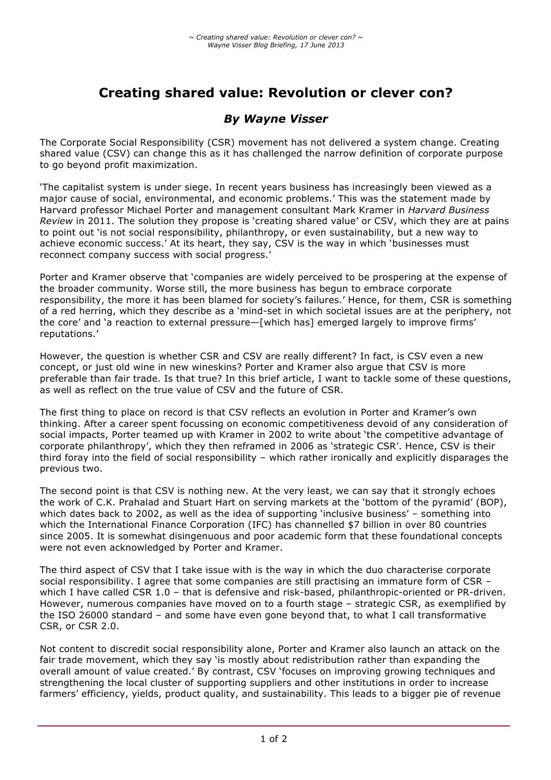# **Creating shared value: Revolution or clever con?**

## *By Wayne Visser*

The Corporate Social Responsibility (CSR) movement has not delivered a system change. Creating shared value (CSV) can change this as it has challenged the narrow definition of corporate purpose to go beyond profit maximization.

'The capitalist system is under siege. In recent years business has increasingly been viewed as a major cause of social, environmental, and economic problems.' This was the statement made by Harvard professor Michael Porter and management consultant Mark Kramer in *Harvard Business Review* in 2011. The solution they propose is 'creating shared value' or CSV, which they are at pains to point out 'is not social responsibility, philanthropy, or even sustainability, but a new way to achieve economic success.' At its heart, they say, CSV is the way in which 'businesses must reconnect company success with social progress.'

Porter and Kramer observe that 'companies are widely perceived to be prospering at the expense of the broader community. Worse still, the more business has begun to embrace corporate responsibility, the more it has been blamed for society's failures.' Hence, for them, CSR is something of a red herring, which they describe as a 'mind-set in which societal issues are at the periphery, not the core' and 'a reaction to external pressure—[which has] emerged largely to improve firms' reputations.'

However, the question is whether CSR and CSV are really different? In fact, is CSV even a new concept, or just old wine in new wineskins? Porter and Kramer also argue that CSV is more preferable than fair trade. Is that true? In this brief article, I want to tackle some of these questions, as well as reflect on the true value of CSV and the future of CSR.

The first thing to place on record is that CSV reflects an evolution in Porter and Kramer's own thinking. After a career spent focussing on economic competitiveness devoid of any consideration of social impacts, Porter teamed up with Kramer in 2002 to write about 'the competitive advantage of corporate philanthropy', which they then reframed in 2006 as 'strategic CSR'. Hence, CSV is their third foray into the field of social responsibility – which rather ironically and explicitly disparages the previous two.

The second point is that CSV is nothing new. At the very least, we can say that it strongly echoes the work of C.K. Prahalad and Stuart Hart on serving markets at the 'bottom of the pyramid' (BOP), which dates back to 2002, as well as the idea of supporting 'inclusive business' – something into which the International Finance Corporation (IFC) has channelled \$7 billion in over 80 countries since 2005. It is somewhat disingenuous and poor academic form that these foundational concepts were not even acknowledged by Porter and Kramer.

The third aspect of CSV that I take issue with is the way in which the duo characterise corporate social responsibility. I agree that some companies are still practising an immature form of CSR – which I have called CSR 1.0 - that is defensive and risk-based, philanthropic-oriented or PR-driven. However, numerous companies have moved on to a fourth stage – strategic CSR, as exemplified by the ISO 26000 standard – and some have even gone beyond that, to what I call transformative CSR, or CSR 2.0.

Not content to discredit social responsibility alone, Porter and Kramer also launch an attack on the fair trade movement, which they say 'is mostly about redistribution rather than expanding the overall amount of value created.' By contrast, CSV 'focuses on improving growing techniques and strengthening the local cluster of supporting suppliers and other institutions in order to increase farmers' efficiency, yields, product quality, and sustainability. This leads to a bigger pie of revenue